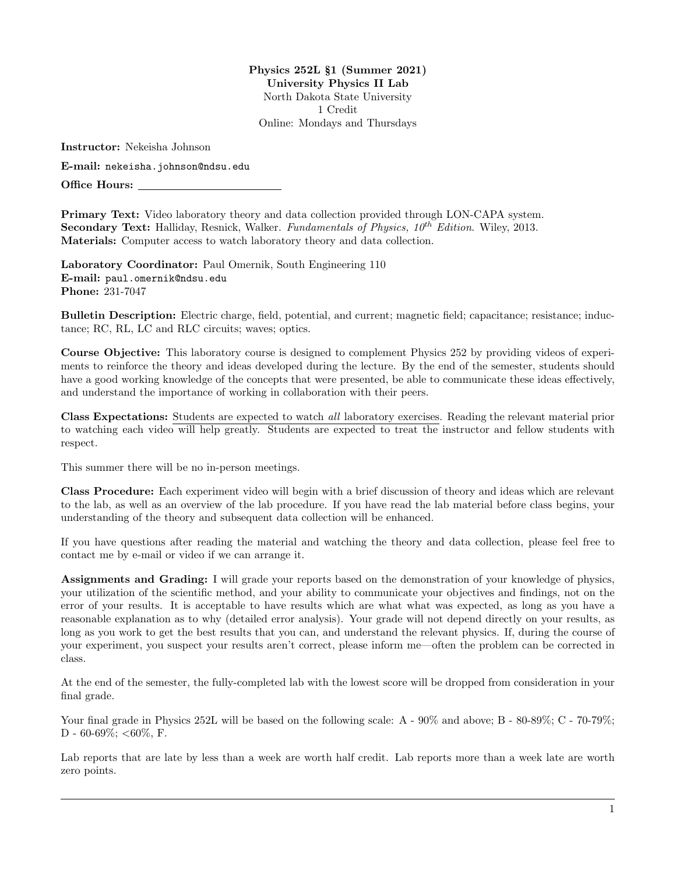Physics 252L §1 (Summer 2021) University Physics II Lab North Dakota State University 1 Credit Online: Mondays and Thursdays

Instructor: Nekeisha Johnson

E-mail: <nekeisha.johnson@ndsu.edu>

Office Hours:

Primary Text: Video laboratory theory and data collection provided through LON-CAPA system. Secondary Text: Halliday, Resnick, Walker. Fundamentals of Physics,  $10^{th}$  Edition. Wiley, 2013. Materials: Computer access to watch laboratory theory and data collection.

Laboratory Coordinator: Paul Omernik, South Engineering 110 E-mail: <paul.omernik@ndsu.edu> Phone: 231-7047

Bulletin Description: Electric charge, field, potential, and current; magnetic field; capacitance; resistance; inductance; RC, RL, LC and RLC circuits; waves; optics.

Course Objective: This laboratory course is designed to complement Physics 252 by providing videos of experiments to reinforce the theory and ideas developed during the lecture. By the end of the semester, students should have a good working knowledge of the concepts that were presented, be able to communicate these ideas effectively, and understand the importance of working in collaboration with their peers.

Class Expectations: Students are expected to watch all laboratory exercises. Reading the relevant material prior to watching each video will help greatly. Students are expected to treat the instructor and fellow students with respect.

This summer there will be no in-person meetings.

Class Procedure: Each experiment video will begin with a brief discussion of theory and ideas which are relevant to the lab, as well as an overview of the lab procedure. If you have read the lab material before class begins, your understanding of the theory and subsequent data collection will be enhanced.

If you have questions after reading the material and watching the theory and data collection, please feel free to contact me by e-mail or video if we can arrange it.

Assignments and Grading: I will grade your reports based on the demonstration of your knowledge of physics, your utilization of the scientific method, and your ability to communicate your objectives and findings, not on the error of your results. It is acceptable to have results which are what what was expected, as long as you have a reasonable explanation as to why (detailed error analysis). Your grade will not depend directly on your results, as long as you work to get the best results that you can, and understand the relevant physics. If, during the course of your experiment, you suspect your results aren't correct, please inform me—often the problem can be corrected in class.

At the end of the semester, the fully-completed lab with the lowest score will be dropped from consideration in your final grade.

Your final grade in Physics 252L will be based on the following scale: A -  $90\%$  and above; B -  $80\text{-}89\%$ ; C -  $70\text{-}79\%$ ; D - 60-69%;  $<$ 60%, F.

Lab reports that are late by less than a week are worth half credit. Lab reports more than a week late are worth zero points.